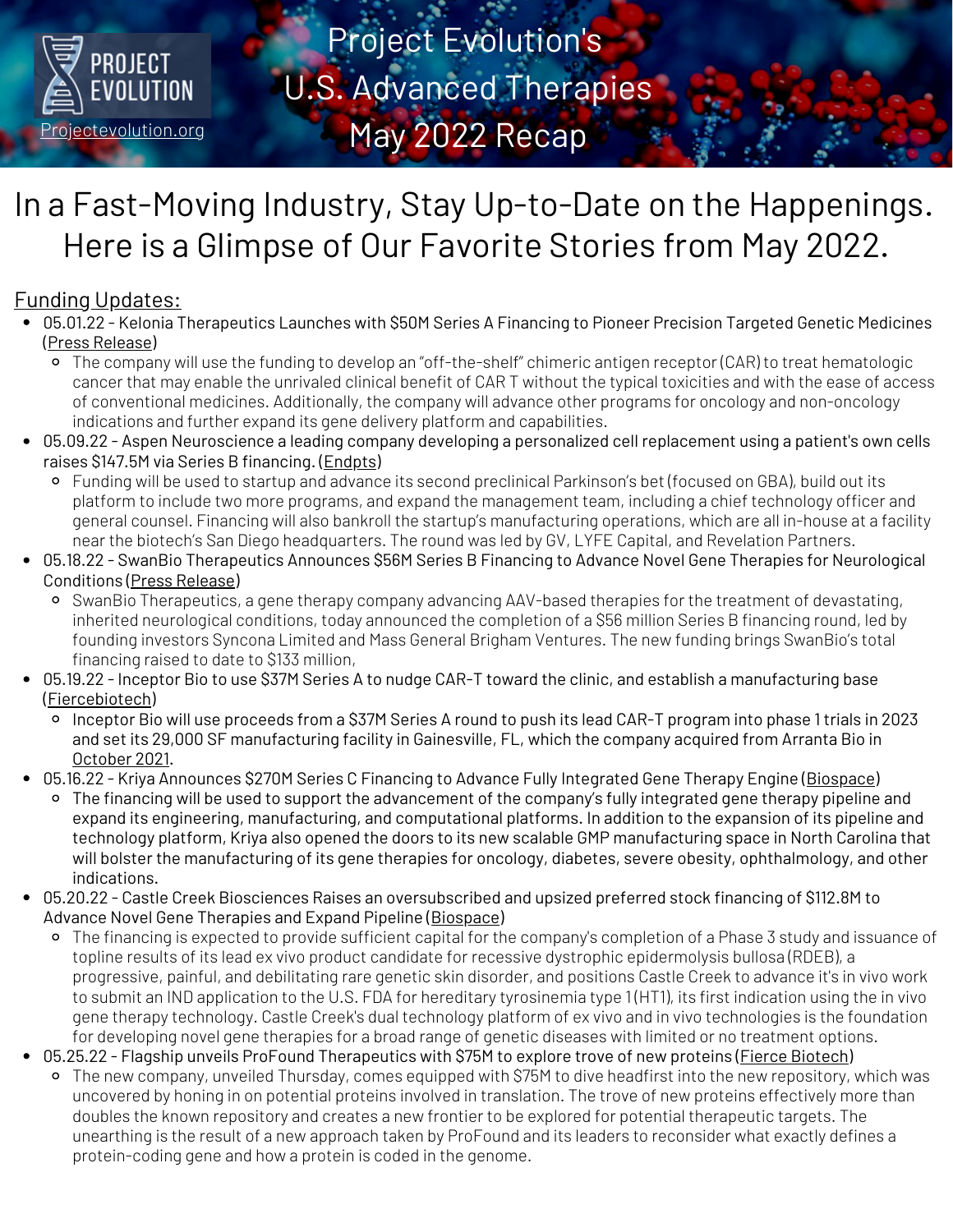

Project Evolution's U.S. Advanced Therapies May 2022 Recap

# In a Fast-Moving Industry, Stay Up-to-Date on the Happenings. Here is a Glimpse of Our Favorite Stories from May 2022.

# Funding Updates:

- 05.01.22 Kelonia Therapeutics Launches with \$50M Series A Financing to Pioneer Precision Targeted Genetic Medicines (Press [Release\)](https://keloniatx.com/kelonia-therapeutics-launches-with-50-million-series-a-financing-to-pioneer-precision-targeted-genetic-medicines/)
	- The company will use the funding to develop an "off-the-shelf" chimeric antigen receptor (CAR) to treat hematologic cancer that may enable the unrivaled clinical benefit of CAR T without the typical toxicities and with the ease of access of conventional medicines. Additionally, the company will advance other programs for oncology and non-oncology indications and further expand its gene delivery platform and capabilities.
- 05.09.22 Aspen Neuroscience a leading company developing a personalized cell replacement using a patient's own cells raises \$147.5M via Series B financing. [\(Endpts\)](https://endpts.com/exclusive-aspen-neuroscience-collects-large-series-b-to-compete-against-bayers-parkinsons-cell-therapy/)
	- Funding will be used to startup and advance its second preclinical Parkinson's bet (focused on GBA), build out its platform to include two more programs, and expand the management team, including a chief technology officer and general counsel. Financing will also bankroll the startup's manufacturing operations, which are all in-house at a facility near the biotech's San Diego headquarters. The round was led by GV, LYFE Capital, and Revelation Partners.
- 05.18.22 SwanBio Therapeutics Announces \$56M Series B Financing to Advance Novel Gene Therapies for Neurological Conditions (Press [Release](https://www.businesswire.com/news/home/20220518005165/en/SwanBio-Therapeutics-Announces-56-Million-Series-B-Financing-to-Advance-Novel-Gene-Therapies-for-Neurological-Conditions))
	- SwanBio Therapeutics, a gene therapy company advancing AAV-based therapies for the treatment of devastating, inherited neurological conditions, today announced the completion of a \$56 million Series B financing round, led by founding investors Syncona Limited and Mass General Brigham Ventures. The new funding brings SwanBio's total financing raised to date to \$133 million,
- 05.19.22 Inceptor Bio to use \$37M Series A to nudge CAR-T toward the clinic, and establish a manufacturing base ([Fiercebiotech](https://www.fiercebiotech.com/biotech/inceptor-bio-uses-37m-series-nudge-car-t-program-clinic-establish-manufacturing-base))
	- Inceptor Bio will use proceeds from a \$37M Series A round to push its lead CAR-T program into phase 1 trials in 2023 and set its 29,000 SF manufacturing facility in Gainesville, FL, which the company acquired from Arranta Bio in [October](https://www.inceptor.bio/the-latest/inceptor-bio-announces-agreement-to-acquire-gainesville-fl-gmp-facility-and-transfer-operating-team-from-arranta-bio-to-accelerate-cell-therapies-to-cure-cancer) 2021.
- 05.16.22 Kriya Announces \$270M Series C Financing to Advance Fully Integrated Gene Therapy Engine [\(Biospace\)](https://www.biospace.com/article/kriya-therapeutics-scores-270-million-to-support-gene-therapy-development/)
	- The financing will be used to support the advancement of the company's fully integrated gene therapy pipeline and expand its engineering, manufacturing, and computational platforms. In addition to the expansion of its pipeline and technology platform, Kriya also opened the doors to its new scalable GMP manufacturing space in North Carolina that will bolster the manufacturing of its gene therapies for oncology, diabetes, severe obesity, ophthalmology, and other indications.
- 05.20.22 Castle Creek Biosciences Raises an oversubscribed and upsized preferred stock financing of \$112.8M to Advance Novel Gene Therapies and Expand Pipeline [\(Biospace](https://www.biospace.com/article/releases/castle-creek-biosciences-raises-112-8-million-to-advance-novel-gene-therapies-and-expand-pipeline/))
	- The financing is expected to provide sufficient capital for the company's completion of a Phase 3 study and issuance of topline results of its lead ex vivo product candidate for recessive dystrophic epidermolysis bullosa (RDEB), a progressive, painful, and debilitating rare genetic skin disorder, and positions Castle Creek to advance it's in vivo work to submit an IND application to the U.S. FDA for hereditary tyrosinemia type 1 (HT1), its first indication using the in vivo gene therapy technology. Castle Creek's dual technology platform of ex vivo and in vivo technologies is the foundation for developing novel gene therapies for a broad range of genetic diseases with limited or no treatment options.
- 05.25.22 Flagship unveils ProFound Therapeutics with \$75M to explore trove of new proteins (Fierce [Biotech](https://www.fiercebiotech.com/biotech/profound-therapeutics-flagships-latest-project-unveils-75m-build-therapies-using-trove-new))
	- The new company, unveiled Thursday, comes equipped with \$75M to dive headfirst into the new repository, which was uncovered by honing in on potential proteins involved in translation. The trove of new proteins effectively more than doubles the known repository and creates a new frontier to be explored for potential therapeutic targets. The unearthing is the result of a new approach taken by ProFound and its leaders to reconsider what exactly defines a protein-coding gene and how a protein is coded in the genome.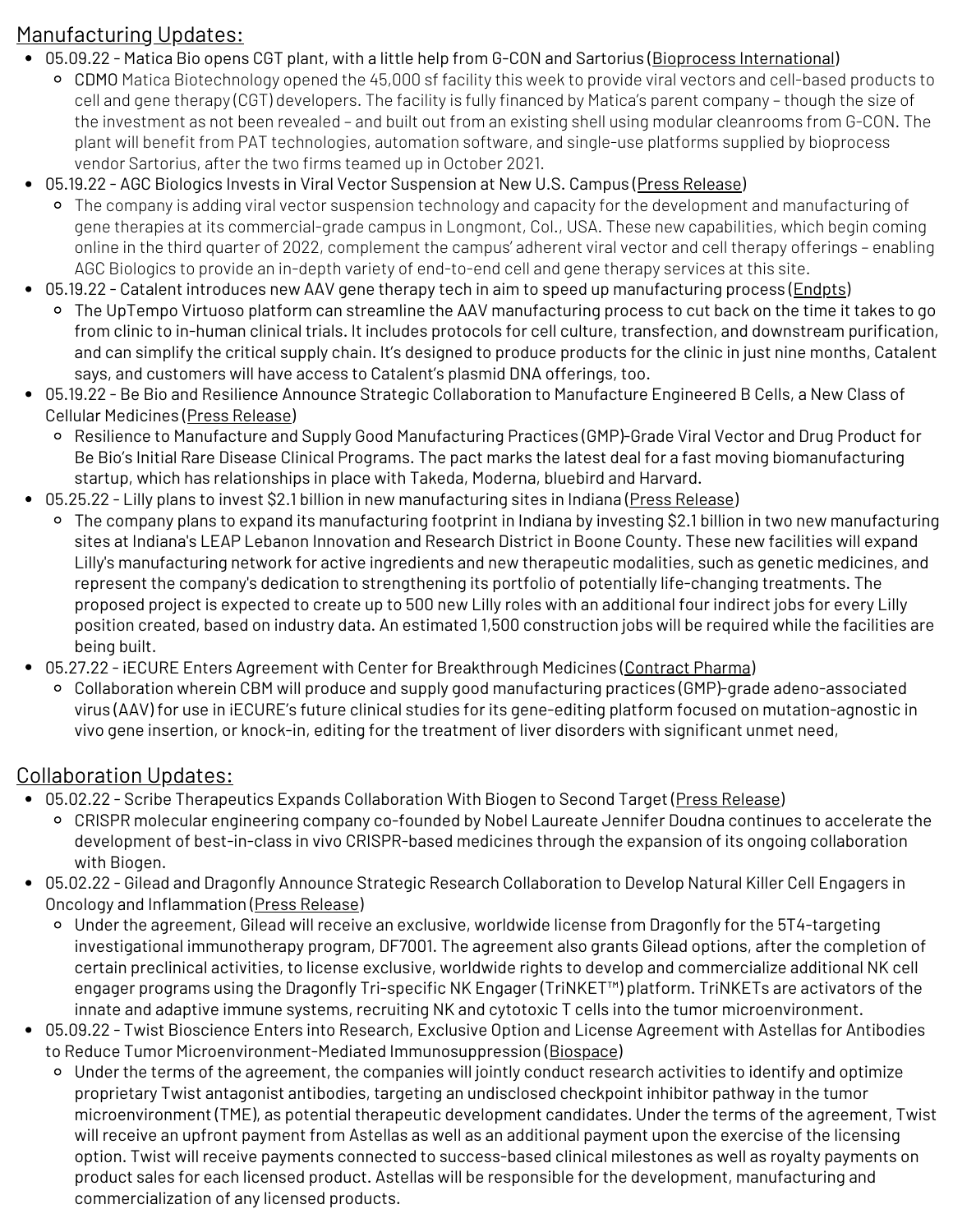### Manufacturing Updates:

- 05.09.22 Matica Bio opens CGT plant, with a little help from G-CON and Sartorius (Bioprocess [International](https://bioprocessintl.com/bioprocess-insider/facilities-capacity/matica-bio-opens-cgt-plant-with-a-little-help-from-g-con-and-sartorius/?utm_medium=email&_hsmi=212458500&_hsenc=p2ANqtz-_5tDqt-Ug9Hll5JmhkigHzkgAKuXAdW5NRaih8_pD8mp_wVJN5yyIBP0LpCqh_JoqczREdxis6uG37hy0-DRaZ6q3Jew&utm_content=212458500&utm_source=hs_email))
- cell and gene therapy (UGT) developers. The facility is fully financed by Matica's parent company though the size of<br>the investment as not been revealed and built out from an existing shell using modular cleanrooms fro CDMO Matica Biotechnology opened the 45,000 sf facility this week to provide viral vectors and cell-based products to cell and gene therapy (CGT) developers. The facility is fully financed by Matica's parent company – though the size of plant will benefit from PAT technologies, automation software, and single-use platforms supplied by bioprocess vendor Sartorius, after the two firms teamed up in October 2021.
- 05.19.22 AGC Biologics Invests in Viral Vector Suspension at New U.S. Campus (Press [Release\)](https://keloniatx.com/kelonia-therapeutics-launches-with-50-million-series-a-financing-to-pioneer-precision-targeted-genetic-medicines/)
	- The company is adding viral vector suspension technology and capacity for the development and manufacturing of gene therapies at its commercial-grade campus in Longmont, Col., USA. These new capabilities, which begin coming online in the third quarter of 2022, complement the campus' adherent viral vector and cell therapy offerings – enabling AGC Biologics to provide an in-depth variety of end-to-end cell and gene therapy services at this site.
- 05.19.22 Catalent introduces new AAV gene therapy tech in aim to speed up manufacturing process (*Endpts*)
	- The UpTempo Virtuoso platform can streamline the AAV manufacturing process to cut back on the time it takes to go from clinic to in-human clinical trials. It includes protocols for cell culture, transfection, and downstream purification, and can simplify the critical supply chain. It's designed to produce products for the clinic in just nine months, Catalent says, and customers will have access to Catalent's plasmid DNA offerings, too.
- 05.19.22 Be Bio and Resilience Announce Strategic Collaboration to Manufacture Engineered B Cells, a New Class of Cellular Medicines (Press [Release](https://www.businesswire.com/news/home/20220519005050/en/Be-Bio-and-Resilience-Announce-Strategic-Collaboration-to-Manufacture-Engineered-B-Cells-a-New-Class-of-Cellular-Medicines))
	- Resilience to Manufacture and Supply Good Manufacturing Practices (GMP)-Grade Viral Vector and Drug Product for Be Bio's Initial Rare Disease Clinical Programs. The pact marks the latest deal for a fast moving biomanufacturing startup, which has relationships in place with Takeda, Moderna, bluebird and Harvard.
- 05.25.22 Lilly plans to invest \$2.1 billion in new manufacturing sites in Indiana (Press [Release\)](https://investor.lilly.com/news-releases/news-release-details/lilly-plans-invest-21-billion-new-manufacturing-sites-indiana)
	- The company plans to expand its manufacturing footprint in Indiana by investing \$2.1 billion in two new manufacturing sites at Indiana's LEAP Lebanon Innovation and Research District in Boone County. These new facilities will expand Lilly's manufacturing network for active ingredients and new therapeutic modalities, such as genetic medicines, and represent the company's dedication to strengthening its portfolio of potentially life-changing treatments. The proposed project is expected to create up to 500 new Lilly roles with an additional four indirect jobs for every Lilly position created, based on industry data. An estimated 1,500 construction jobs will be required while the facilities are being built.
- 05.27.22 iECURE Enters Agreement with Center for Breakthrough Medicines [\(Contract](https://www.contractpharma.com/contents/view_breaking-news/2022-05-27/iecure-enters-agreement-with-center-for-breakthrough-medicines) Pharma)
	- Collaboration wherein CBM will produce and supply good manufacturing practices (GMP)-grade adeno-associated virus (AAV) for use in iECURE's future clinical studies for its gene-editing platform focused on mutation-agnostic in vivo gene insertion, or knock-in, editing for the treatment of liver disorders with significant unmet need,

#### Collaboration Updates:

- 05.02.22 Scribe Therapeutics Expands Collaboration With Biogen to Second Target (Press [Release\)](https://www.businesswire.com/news/home/20220502005228/en/Scribe-Therapeutics-Expands-Collaboration-With-Biogen-to-Second-Target)
	- CRISPR molecular engineering company co-founded by Nobel Laureate Jennifer Doudna continues to accelerate the development of best-in-class in vivo CRISPR-based medicines through the expansion of its ongoing collaboration with Biogen.
- 05.02.22 Gilead and Dragonfly Announce Strategic Research Collaboration to Develop Natural Killer Cell Engagers in Oncology and Inflammation (Press [Release\)](https://www.gilead.com/news-and-press/press-room/press-releases/2022/5/gilead-and-dragonfly-announce-strategic-research-collaboration-to-develop-natural-killer-cell-engagers-in-oncology-and-inflammation)
	- Under the agreement, Gilead will receive an exclusive, worldwide license from Dragonfly for the 5T4-targeting investigational immunotherapy program, DF7001. The agreement also grants Gilead options, after the completion of certain preclinical activities, to license exclusive, worldwide rights to develop and commercialize additional NK cell engager programs using the Dragonfly Tri-specific NK Engager (TriNKET™) platform. TriNKETs are activators of the innate and adaptive immune systems, recruiting NK and cytotoxic T cells into the tumor microenvironment.
- 05.09.22 Twist Bioscience Enters into Research, Exclusive Option and License Agreement with Astellas for Antibodies to Reduce Tumor Microenvironment-Mediated Immunosuppression ([Biospace](https://www.biospace.com/article/releases/twist-bioscience-enters-into-research-exclusive-option-and-license-agreement-with-astellas-for-antibodies-to-reduce-tumor-microenvironment-mediated-immunosuppression/?s=105))
	- Under the terms of the agreement, the companies will jointly conduct research activities to identify and optimize proprietary Twist antagonist antibodies, targeting an undisclosed checkpoint inhibitor pathway in the tumor microenvironment (TME), as potential therapeutic development candidates. Under the terms of the agreement, Twist will receive an upfront payment from Astellas as well as an additional payment upon the exercise of the licensing option. Twist will receive payments connected to success-based clinical milestones as well as royalty payments on product sales for each licensed product. Astellas will be responsible for the development, manufacturing and commercialization of any licensed products.